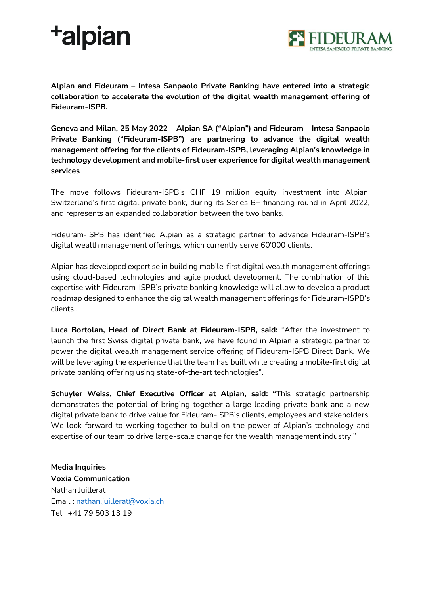## **+alpian**



**Alpian and Fideuram – Intesa Sanpaolo Private Banking have entered into a strategic collaboration to accelerate the evolution of the digital wealth management offering of Fideuram-ISPB.** 

**Geneva and Milan, 25 May 2022 – Alpian SA ("Alpian") and Fideuram – Intesa Sanpaolo Private Banking ("Fideuram-ISPB") are partnering to advance the digital wealth management offering for the clients of Fideuram-ISPB, leveraging Alpian's knowledge in technology development and mobile-first user experience for digital wealth management services**

The move follows Fideuram-ISPB's CHF 19 million equity investment into Alpian, Switzerland's first digital private bank, during its Series B+ financing round in April 2022, and represents an expanded collaboration between the two banks.

Fideuram-ISPB has identified Alpian as a strategic partner to advance Fideuram-ISPB's digital wealth management offerings, which currently serve 60'000 clients.

Alpian has developed expertise in building mobile-first digital wealth management offerings using cloud-based technologies and agile product development. The combination of this expertise with Fideuram-ISPB's private banking knowledge will allow to develop a product roadmap designed to enhance the digital wealth management offerings for Fideuram-ISPB's clients..

**Luca Bortolan, Head of Direct Bank at Fideuram-ISPB, said:** "After the investment to launch the first Swiss digital private bank, we have found in Alpian a strategic partner to power the digital wealth management service offering of Fideuram-ISPB Direct Bank. We will be leveraging the experience that the team has built while creating a mobile-first digital private banking offering using state-of-the-art technologies".

**Schuyler Weiss, Chief Executive Officer at Alpian, said: "**This strategic partnership demonstrates the potential of bringing together a large leading private bank and a new digital private bank to drive value for Fideuram-ISPB's clients, employees and stakeholders. We look forward to working together to build on the power of Alpian's technology and expertise of our team to drive large-scale change for the wealth management industry."

**Media Inquiries Voxia Communication**  Nathan Juillerat Email : nathan.juillerat@voxia.ch Tel : +41 79 503 13 19